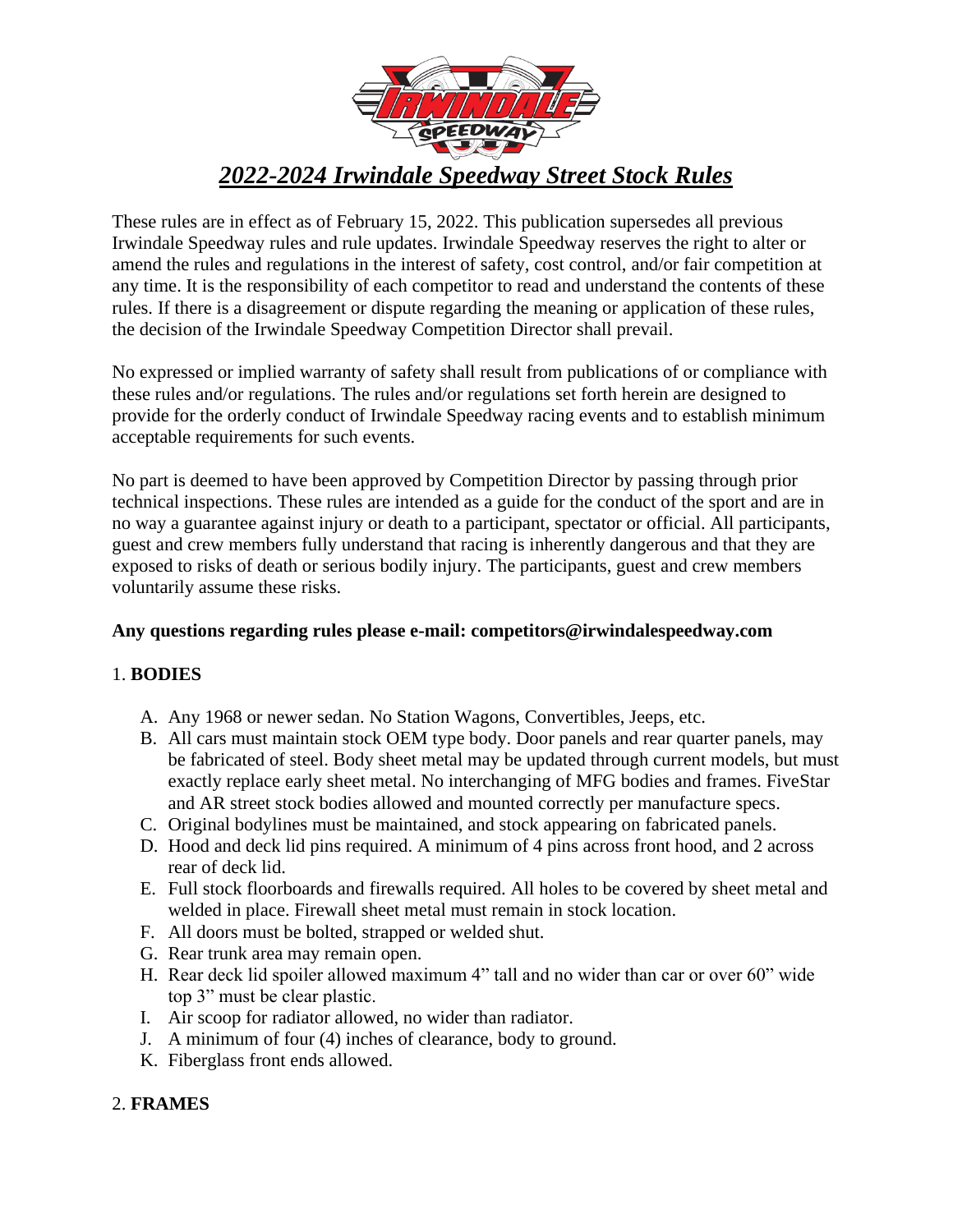

# *2022-2024 Irwindale Speedway Street Stock Rules*

These rules are in effect as of February 15, 2022. This publication supersedes all previous Irwindale Speedway rules and rule updates. Irwindale Speedway reserves the right to alter or amend the rules and regulations in the interest of safety, cost control, and/or fair competition at any time. It is the responsibility of each competitor to read and understand the contents of these rules. If there is a disagreement or dispute regarding the meaning or application of these rules, the decision of the Irwindale Speedway Competition Director shall prevail.

No expressed or implied warranty of safety shall result from publications of or compliance with these rules and/or regulations. The rules and/or regulations set forth herein are designed to provide for the orderly conduct of Irwindale Speedway racing events and to establish minimum acceptable requirements for such events.

No part is deemed to have been approved by Competition Director by passing through prior technical inspections. These rules are intended as a guide for the conduct of the sport and are in no way a guarantee against injury or death to a participant, spectator or official. All participants, guest and crew members fully understand that racing is inherently dangerous and that they are exposed to risks of death or serious bodily injury. The participants, guest and crew members voluntarily assume these risks.

#### **Any questions regarding rules please e-mail: competitors@irwindalespeedway.com**

#### 1. **BODIES**

- A. Any 1968 or newer sedan. No Station Wagons, Convertibles, Jeeps, etc.
- B. All cars must maintain stock OEM type body. Door panels and rear quarter panels, may be fabricated of steel. Body sheet metal may be updated through current models, but must exactly replace early sheet metal. No interchanging of MFG bodies and frames. FiveStar and AR street stock bodies allowed and mounted correctly per manufacture specs.
- C. Original bodylines must be maintained, and stock appearing on fabricated panels.
- D. Hood and deck lid pins required. A minimum of 4 pins across front hood, and 2 across rear of deck lid.
- E. Full stock floorboards and firewalls required. All holes to be covered by sheet metal and welded in place. Firewall sheet metal must remain in stock location.
- F. All doors must be bolted, strapped or welded shut.
- G. Rear trunk area may remain open.
- H. Rear deck lid spoiler allowed maximum 4" tall and no wider than car or over 60" wide top 3" must be clear plastic.
- I. Air scoop for radiator allowed, no wider than radiator.
- J. A minimum of four (4) inches of clearance, body to ground.
- K. Fiberglass front ends allowed.

#### 2. **FRAMES**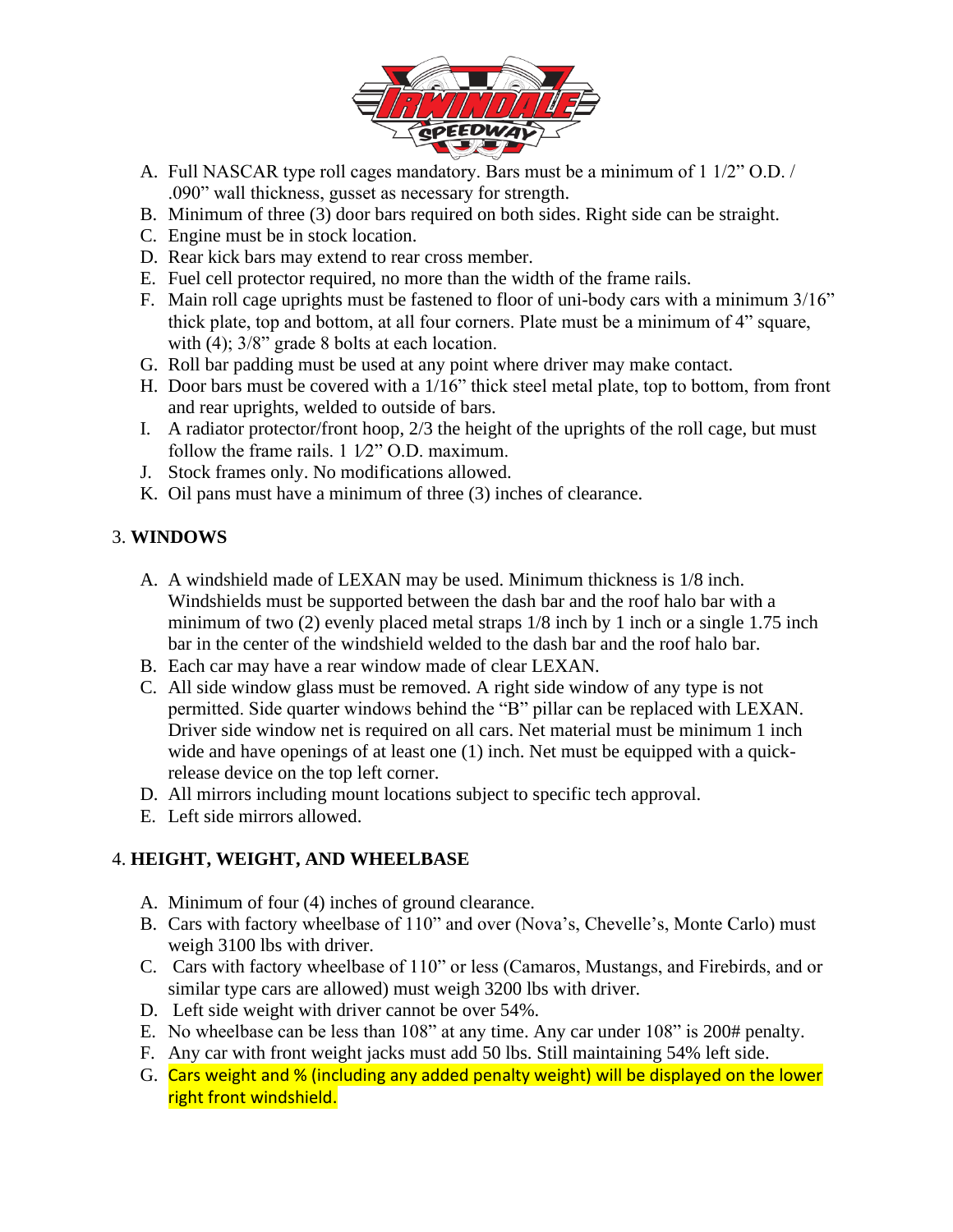

- A. Full NASCAR type roll cages mandatory. Bars must be a minimum of 1 1/2" O.D. / .090" wall thickness, gusset as necessary for strength.
- B. Minimum of three (3) door bars required on both sides. Right side can be straight.
- C. Engine must be in stock location.
- D. Rear kick bars may extend to rear cross member.
- E. Fuel cell protector required, no more than the width of the frame rails.
- F. Main roll cage uprights must be fastened to floor of uni-body cars with a minimum 3/16" thick plate, top and bottom, at all four corners. Plate must be a minimum of 4" square, with (4);  $3/8$ " grade 8 bolts at each location.
- G. Roll bar padding must be used at any point where driver may make contact.
- H. Door bars must be covered with a 1/16" thick steel metal plate, top to bottom, from front and rear uprights, welded to outside of bars.
- I. A radiator protector/front hoop, 2/3 the height of the uprights of the roll cage, but must follow the frame rails.  $1\frac{1}{2}$ " O.D. maximum.
- J. Stock frames only. No modifications allowed.
- K. Oil pans must have a minimum of three (3) inches of clearance.

# 3. **WINDOWS**

- A. A windshield made of LEXAN may be used. Minimum thickness is 1/8 inch. Windshields must be supported between the dash bar and the roof halo bar with a minimum of two (2) evenly placed metal straps  $1/8$  inch by 1 inch or a single 1.75 inch bar in the center of the windshield welded to the dash bar and the roof halo bar.
- B. Each car may have a rear window made of clear LEXAN.
- C. All side window glass must be removed. A right side window of any type is not permitted. Side quarter windows behind the "B" pillar can be replaced with LEXAN. Driver side window net is required on all cars. Net material must be minimum 1 inch wide and have openings of at least one (1) inch. Net must be equipped with a quickrelease device on the top left corner.
- D. All mirrors including mount locations subject to specific tech approval.
- E. Left side mirrors allowed.

# 4. **HEIGHT, WEIGHT, AND WHEELBASE**

- A. Minimum of four (4) inches of ground clearance.
- B. Cars with factory wheelbase of 110" and over (Nova's, Chevelle's, Monte Carlo) must weigh 3100 lbs with driver.
- C. Cars with factory wheelbase of 110" or less (Camaros, Mustangs, and Firebirds, and or similar type cars are allowed) must weigh 3200 lbs with driver.
- D. Left side weight with driver cannot be over 54%.
- E. No wheelbase can be less than 108" at any time. Any car under 108" is 200# penalty.
- F. Any car with front weight jacks must add 50 lbs. Still maintaining 54% left side.
- G. Cars weight and % (including any added penalty weight) will be displayed on the lower right front windshield.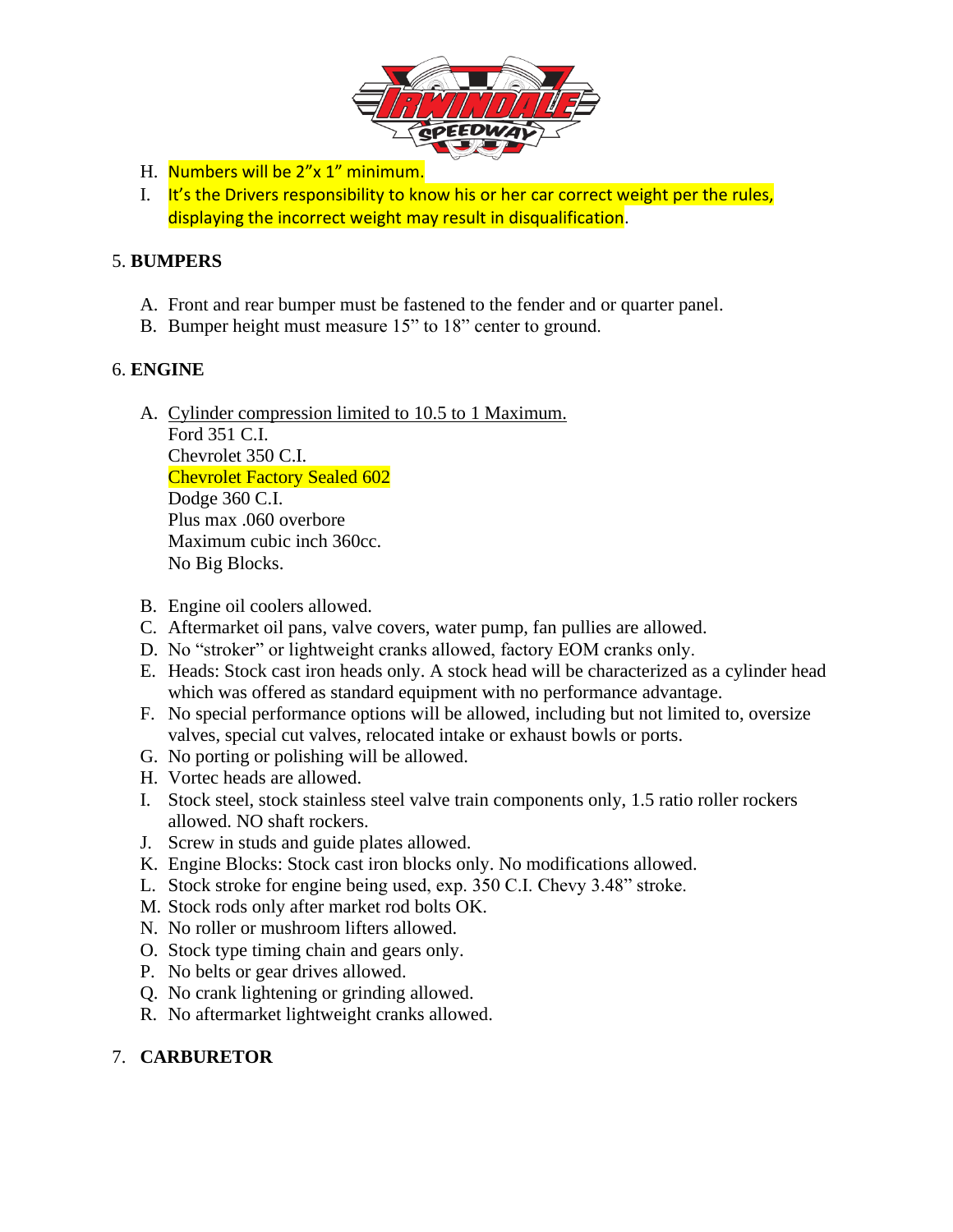

- H. Numbers will be 2"x 1" minimum.
- I. It's the Drivers responsibility to know his or her car correct weight per the rules, displaying the incorrect weight may result in disqualification.

## 5. **BUMPERS**

- A. Front and rear bumper must be fastened to the fender and or quarter panel.
- B. Bumper height must measure 15" to 18" center to ground.

# 6. **ENGINE**

- A. Cylinder compression limited to 10.5 to 1 Maximum. Ford 351 C.I. Chevrolet 350 C.I. Chevrolet Factory Sealed 602 Dodge 360 C.I. Plus max .060 overbore Maximum cubic inch 360cc. No Big Blocks.
- B. Engine oil coolers allowed.
- C. Aftermarket oil pans, valve covers, water pump, fan pullies are allowed.
- D. No "stroker" or lightweight cranks allowed, factory EOM cranks only.
- E. Heads: Stock cast iron heads only. A stock head will be characterized as a cylinder head which was offered as standard equipment with no performance advantage.
- F. No special performance options will be allowed, including but not limited to, oversize valves, special cut valves, relocated intake or exhaust bowls or ports.
- G. No porting or polishing will be allowed.
- H. Vortec heads are allowed.
- I. Stock steel, stock stainless steel valve train components only, 1.5 ratio roller rockers allowed. NO shaft rockers.
- J. Screw in studs and guide plates allowed.
- K. Engine Blocks: Stock cast iron blocks only. No modifications allowed.
- L. Stock stroke for engine being used, exp. 350 C.I. Chevy 3.48" stroke.
- M. Stock rods only after market rod bolts OK.
- N. No roller or mushroom lifters allowed.
- O. Stock type timing chain and gears only.
- P. No belts or gear drives allowed.
- Q. No crank lightening or grinding allowed.
- R. No aftermarket lightweight cranks allowed.

# 7. **CARBURETOR**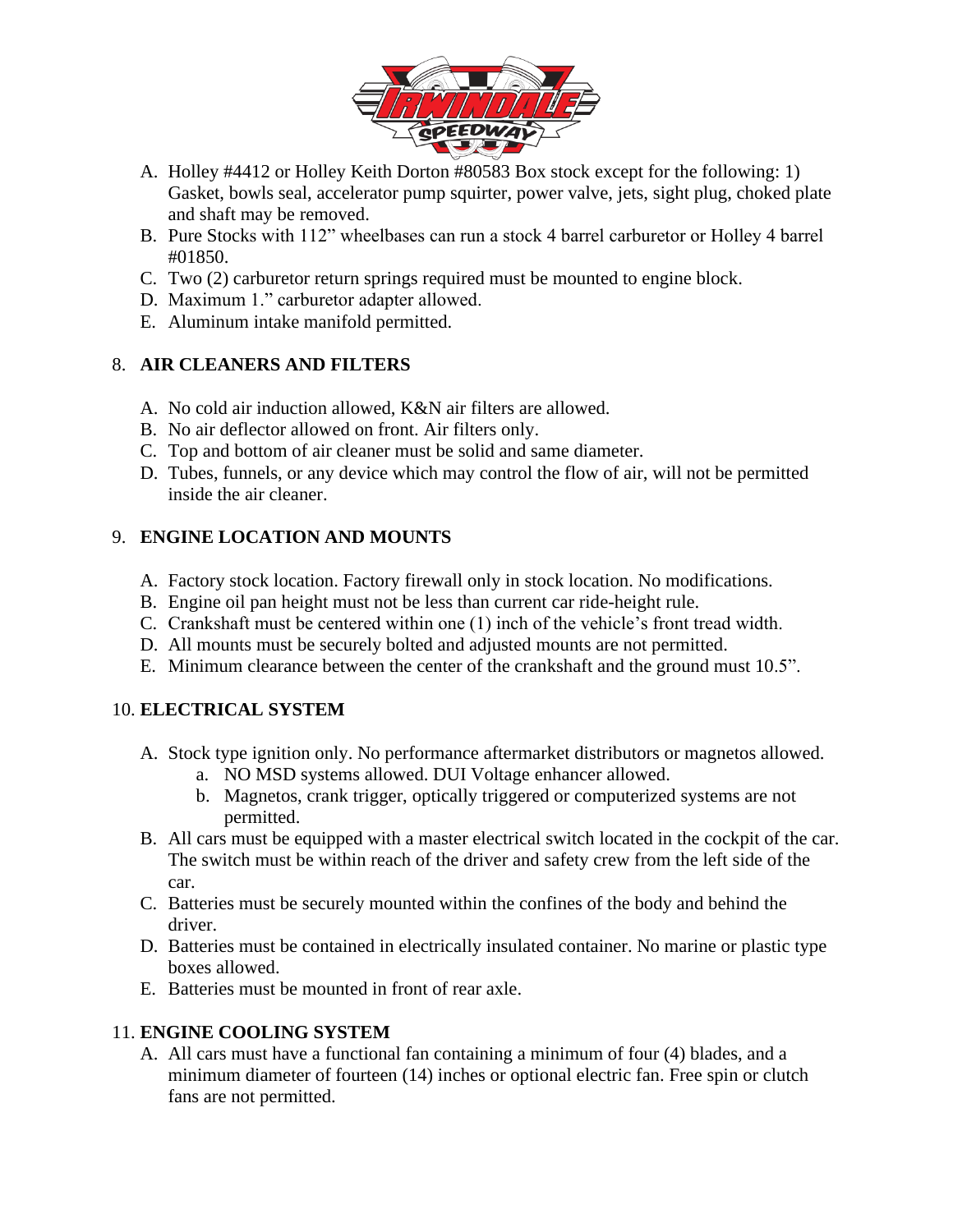

- A. Holley #4412 or Holley Keith Dorton #80583 Box stock except for the following: 1) Gasket, bowls seal, accelerator pump squirter, power valve, jets, sight plug, choked plate and shaft may be removed.
- B. Pure Stocks with 112" wheelbases can run a stock 4 barrel carburetor or Holley 4 barrel #01850.
- C. Two (2) carburetor return springs required must be mounted to engine block.
- D. Maximum 1." carburetor adapter allowed.
- E. Aluminum intake manifold permitted.

# 8. **AIR CLEANERS AND FILTERS**

- A. No cold air induction allowed, K&N air filters are allowed.
- B. No air deflector allowed on front. Air filters only.
- C. Top and bottom of air cleaner must be solid and same diameter.
- D. Tubes, funnels, or any device which may control the flow of air, will not be permitted inside the air cleaner.

# 9. **ENGINE LOCATION AND MOUNTS**

- A. Factory stock location. Factory firewall only in stock location. No modifications.
- B. Engine oil pan height must not be less than current car ride-height rule.
- C. Crankshaft must be centered within one (1) inch of the vehicle's front tread width.
- D. All mounts must be securely bolted and adjusted mounts are not permitted.
- E. Minimum clearance between the center of the crankshaft and the ground must 10.5".

# 10. **ELECTRICAL SYSTEM**

- A. Stock type ignition only. No performance aftermarket distributors or magnetos allowed.
	- a. NO MSD systems allowed. DUI Voltage enhancer allowed.
	- b. Magnetos, crank trigger, optically triggered or computerized systems are not permitted.
- B. All cars must be equipped with a master electrical switch located in the cockpit of the car. The switch must be within reach of the driver and safety crew from the left side of the car.
- C. Batteries must be securely mounted within the confines of the body and behind the driver.
- D. Batteries must be contained in electrically insulated container. No marine or plastic type boxes allowed.
- E. Batteries must be mounted in front of rear axle.

# 11. **ENGINE COOLING SYSTEM**

A. All cars must have a functional fan containing a minimum of four (4) blades, and a minimum diameter of fourteen (14) inches or optional electric fan. Free spin or clutch fans are not permitted.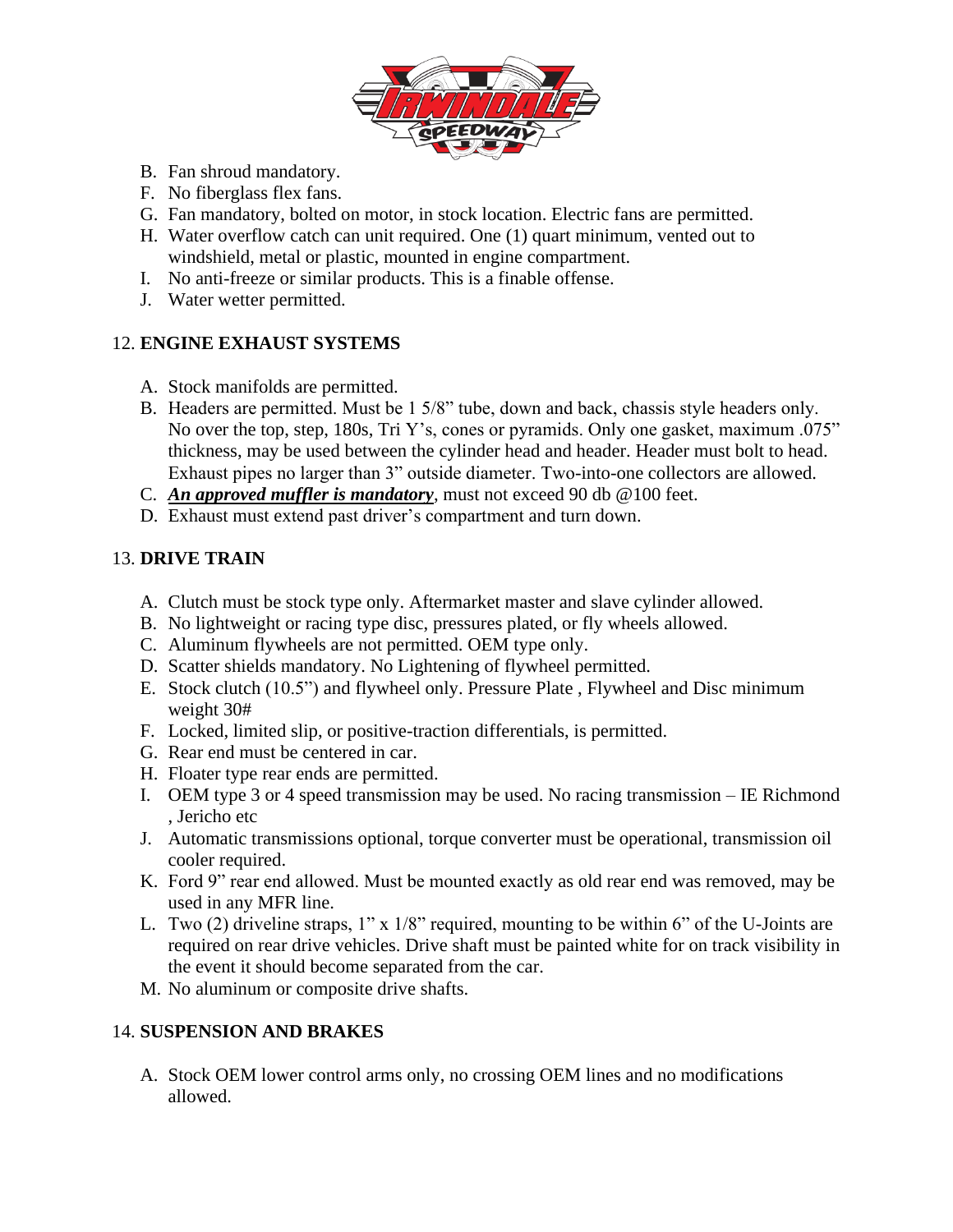

- B. Fan shroud mandatory.
- F. No fiberglass flex fans.
- G. Fan mandatory, bolted on motor, in stock location. Electric fans are permitted.
- H. Water overflow catch can unit required. One (1) quart minimum, vented out to windshield, metal or plastic, mounted in engine compartment.
- I. No anti-freeze or similar products. This is a finable offense.
- J. Water wetter permitted.

## 12. **ENGINE EXHAUST SYSTEMS**

- A. Stock manifolds are permitted.
- B. Headers are permitted. Must be 1 5/8" tube, down and back, chassis style headers only. No over the top, step, 180s, Tri Y's, cones or pyramids. Only one gasket, maximum .075" thickness, may be used between the cylinder head and header. Header must bolt to head. Exhaust pipes no larger than 3" outside diameter. Two-into-one collectors are allowed.
- C. *An approved muffler is mandatory*, must not exceed 90 db @100 feet.
- D. Exhaust must extend past driver's compartment and turn down.

## 13. **DRIVE TRAIN**

- A. Clutch must be stock type only. Aftermarket master and slave cylinder allowed.
- B. No lightweight or racing type disc, pressures plated, or fly wheels allowed.
- C. Aluminum flywheels are not permitted. OEM type only.
- D. Scatter shields mandatory. No Lightening of flywheel permitted.
- E. Stock clutch (10.5") and flywheel only. Pressure Plate , Flywheel and Disc minimum weight 30#
- F. Locked, limited slip, or positive-traction differentials, is permitted.
- G. Rear end must be centered in car.
- H. Floater type rear ends are permitted.
- I. OEM type 3 or 4 speed transmission may be used. No racing transmission IE Richmond , Jericho etc
- J. Automatic transmissions optional, torque converter must be operational, transmission oil cooler required.
- K. Ford 9" rear end allowed. Must be mounted exactly as old rear end was removed, may be used in any MFR line.
- L. Two (2) driveline straps, 1" x 1/8" required, mounting to be within 6" of the U-Joints are required on rear drive vehicles. Drive shaft must be painted white for on track visibility in the event it should become separated from the car.
- M. No aluminum or composite drive shafts.

# 14. **SUSPENSION AND BRAKES**

A. Stock OEM lower control arms only, no crossing OEM lines and no modifications allowed.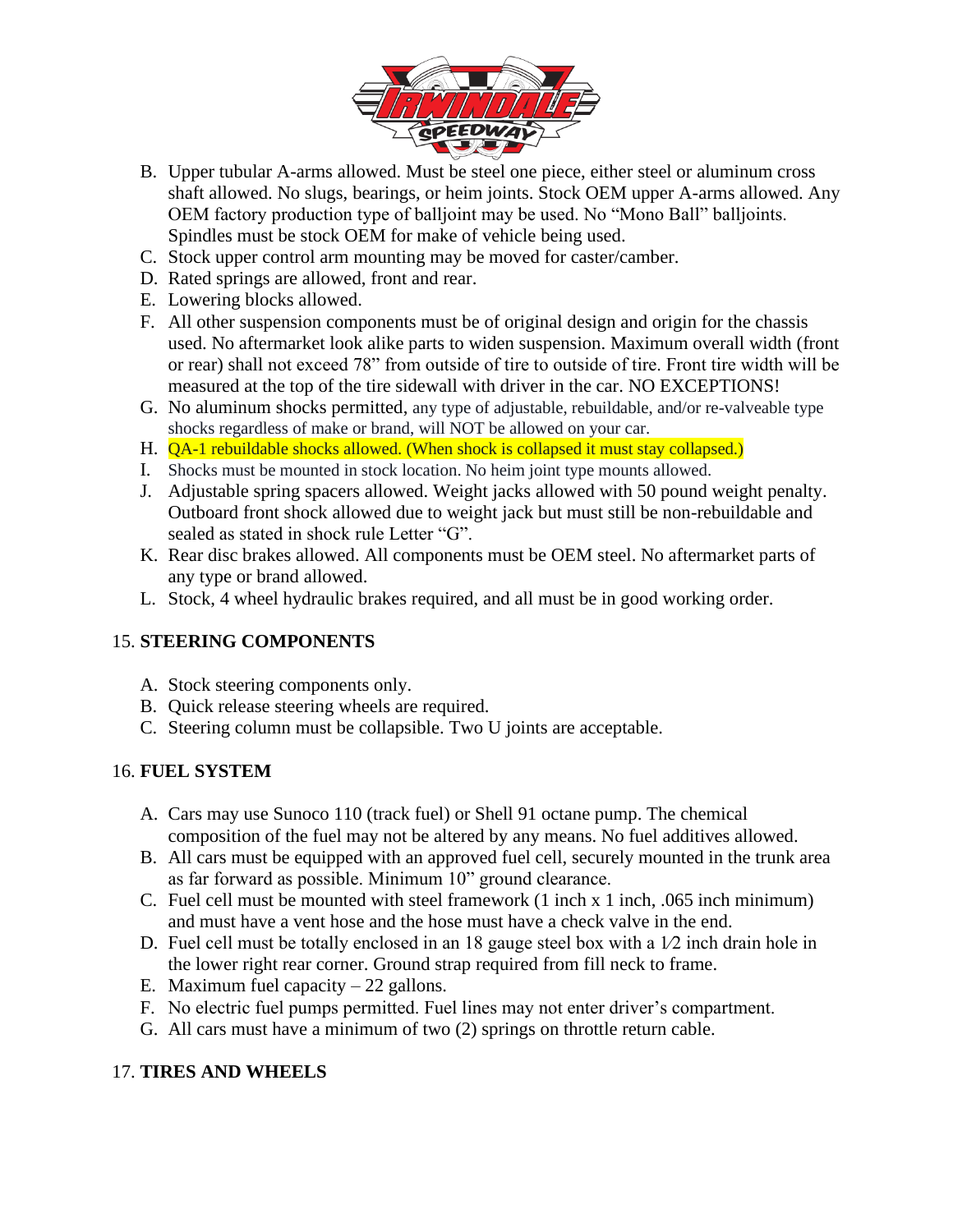

- B. Upper tubular A-arms allowed. Must be steel one piece, either steel or aluminum cross shaft allowed. No slugs, bearings, or heim joints. Stock OEM upper A-arms allowed. Any OEM factory production type of balljoint may be used. No "Mono Ball" balljoints. Spindles must be stock OEM for make of vehicle being used.
- C. Stock upper control arm mounting may be moved for caster/camber.
- D. Rated springs are allowed, front and rear.
- E. Lowering blocks allowed.
- F. All other suspension components must be of original design and origin for the chassis used. No aftermarket look alike parts to widen suspension. Maximum overall width (front or rear) shall not exceed 78" from outside of tire to outside of tire. Front tire width will be measured at the top of the tire sidewall with driver in the car. NO EXCEPTIONS!
- G. No aluminum shocks permitted, any type of adjustable, rebuildable, and/or re-valveable type shocks regardless of make or brand, will NOT be allowed on your car.
- H. **QA-1 rebuildable shocks allowed.** (When shock is collapsed it must stay collapsed.)
- I. Shocks must be mounted in stock location. No heim joint type mounts allowed.
- J. Adjustable spring spacers allowed. Weight jacks allowed with 50 pound weight penalty. Outboard front shock allowed due to weight jack but must still be non-rebuildable and sealed as stated in shock rule Letter "G".
- K. Rear disc brakes allowed. All components must be OEM steel. No aftermarket parts of any type or brand allowed.
- L. Stock, 4 wheel hydraulic brakes required, and all must be in good working order.

# 15. **STEERING COMPONENTS**

- A. Stock steering components only.
- B. Quick release steering wheels are required.
- C. Steering column must be collapsible. Two U joints are acceptable.

# 16. **FUEL SYSTEM**

- A. Cars may use Sunoco 110 (track fuel) or Shell 91 octane pump. The chemical composition of the fuel may not be altered by any means. No fuel additives allowed.
- B. All cars must be equipped with an approved fuel cell, securely mounted in the trunk area as far forward as possible. Minimum 10" ground clearance.
- C. Fuel cell must be mounted with steel framework (1 inch x 1 inch, .065 inch minimum) and must have a vent hose and the hose must have a check valve in the end.
- D. Fuel cell must be totally enclosed in an 18 gauge steel box with a  $1/2$  inch drain hole in the lower right rear corner. Ground strap required from fill neck to frame.
- E. Maximum fuel capacity  $-22$  gallons.
- F. No electric fuel pumps permitted. Fuel lines may not enter driver's compartment.
- G. All cars must have a minimum of two (2) springs on throttle return cable.

# 17. **TIRES AND WHEELS**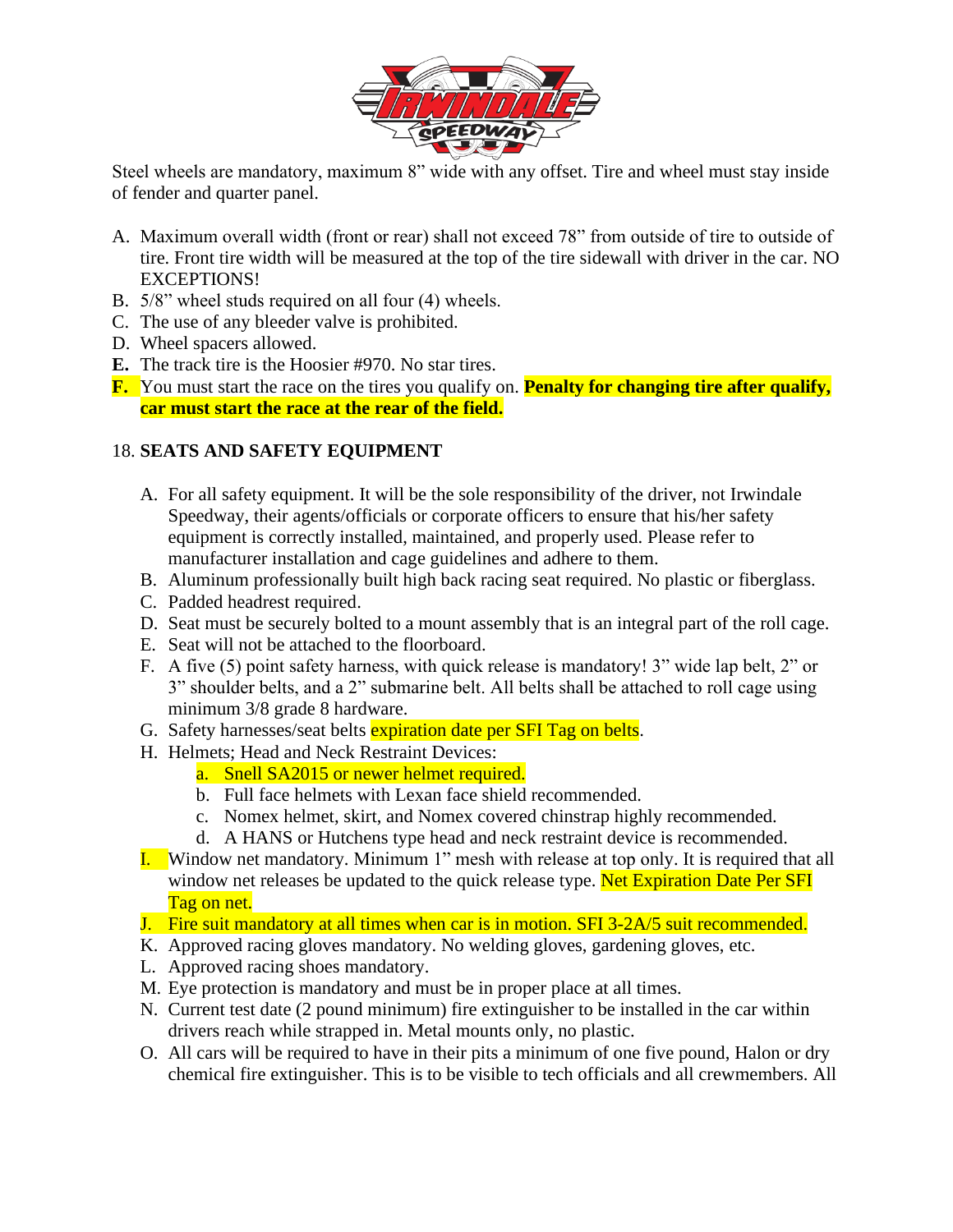

Steel wheels are mandatory, maximum 8" wide with any offset. Tire and wheel must stay inside of fender and quarter panel.

- A. Maximum overall width (front or rear) shall not exceed 78" from outside of tire to outside of tire. Front tire width will be measured at the top of the tire sidewall with driver in the car. NO EXCEPTIONS!
- B. 5/8" wheel studs required on all four (4) wheels.
- C. The use of any bleeder valve is prohibited.
- D. Wheel spacers allowed.
- **E.** The track tire is the Hoosier #970. No star tires.
- **F.** You must start the race on the tires you qualify on. **Penalty for changing tire after qualify, car must start the race at the rear of the field.**

# 18. **SEATS AND SAFETY EQUIPMENT**

- A. For all safety equipment. It will be the sole responsibility of the driver, not Irwindale Speedway, their agents/officials or corporate officers to ensure that his/her safety equipment is correctly installed, maintained, and properly used. Please refer to manufacturer installation and cage guidelines and adhere to them.
- B. Aluminum professionally built high back racing seat required. No plastic or fiberglass.
- C. Padded headrest required.
- D. Seat must be securely bolted to a mount assembly that is an integral part of the roll cage.
- E. Seat will not be attached to the floorboard.
- F. A five (5) point safety harness, with quick release is mandatory! 3" wide lap belt, 2" or 3" shoulder belts, and a 2" submarine belt. All belts shall be attached to roll cage using minimum 3/8 grade 8 hardware.
- G. Safety harnesses/seat belts expiration date per SFI Tag on belts.
- H. Helmets; Head and Neck Restraint Devices:
	- a. Snell SA2015 or newer helmet required.
	- b. Full face helmets with Lexan face shield recommended.
	- c. Nomex helmet, skirt, and Nomex covered chinstrap highly recommended.
	- d. A HANS or Hutchens type head and neck restraint device is recommended.
- I. Window net mandatory. Minimum 1" mesh with release at top only. It is required that all window net releases be updated to the quick release type. Net Expiration Date Per SFI Tag on net.
- J. Fire suit mandatory at all times when car is in motion. SFI 3-2A/5 suit recommended.
- K. Approved racing gloves mandatory. No welding gloves, gardening gloves, etc.
- L. Approved racing shoes mandatory.
- M. Eye protection is mandatory and must be in proper place at all times.
- N. Current test date (2 pound minimum) fire extinguisher to be installed in the car within drivers reach while strapped in. Metal mounts only, no plastic.
- O. All cars will be required to have in their pits a minimum of one five pound, Halon or dry chemical fire extinguisher. This is to be visible to tech officials and all crewmembers. All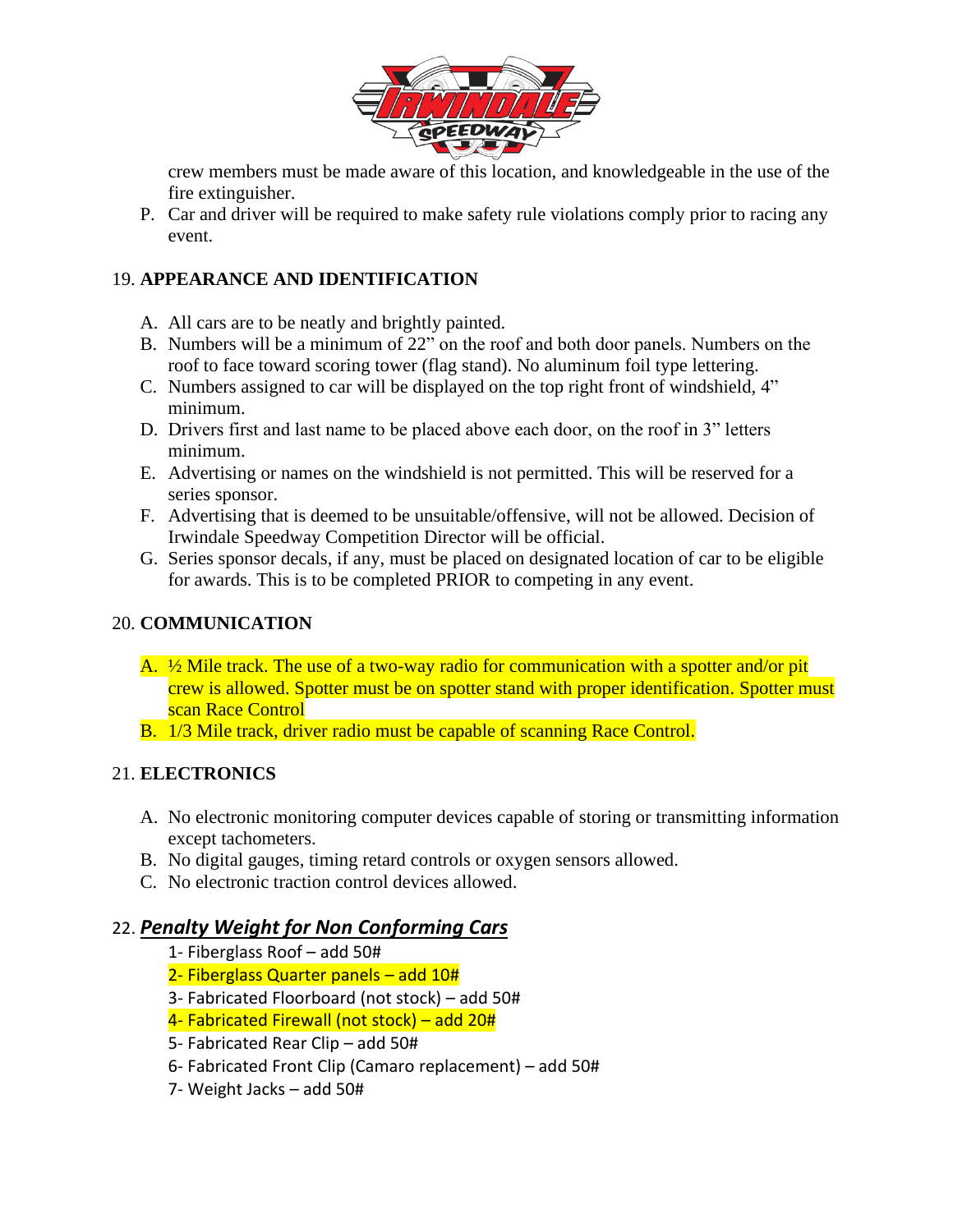

crew members must be made aware of this location, and knowledgeable in the use of the fire extinguisher.

P. Car and driver will be required to make safety rule violations comply prior to racing any event.

## 19. **APPEARANCE AND IDENTIFICATION**

- A. All cars are to be neatly and brightly painted.
- B. Numbers will be a minimum of 22" on the roof and both door panels. Numbers on the roof to face toward scoring tower (flag stand). No aluminum foil type lettering.
- C. Numbers assigned to car will be displayed on the top right front of windshield, 4" minimum.
- D. Drivers first and last name to be placed above each door, on the roof in 3" letters minimum.
- E. Advertising or names on the windshield is not permitted. This will be reserved for a series sponsor.
- F. Advertising that is deemed to be unsuitable/offensive, will not be allowed. Decision of Irwindale Speedway Competition Director will be official.
- G. Series sponsor decals, if any, must be placed on designated location of car to be eligible for awards. This is to be completed PRIOR to competing in any event.

### 20. **COMMUNICATION**

- A.  $\frac{1}{2}$  Mile track. The use of a two-way radio for communication with a spotter and/or pit crew is allowed. Spotter must be on spotter stand with proper identification. Spotter must scan Race Control
- B. 1/3 Mile track, driver radio must be capable of scanning Race Control.

#### 21. **ELECTRONICS**

- A. No electronic monitoring computer devices capable of storing or transmitting information except tachometers.
- B. No digital gauges, timing retard controls or oxygen sensors allowed.
- C. No electronic traction control devices allowed.

# 22. *Penalty Weight for Non Conforming Cars*

- 1- Fiberglass Roof add 50#
- 2- Fiberglass Quarter panels add 10#
- 3- Fabricated Floorboard (not stock) add 50#
- 4- Fabricated Firewall (not stock) add 20#
- 5- Fabricated Rear Clip add 50#
- 6- Fabricated Front Clip (Camaro replacement) add 50#
- 7- Weight Jacks add 50#